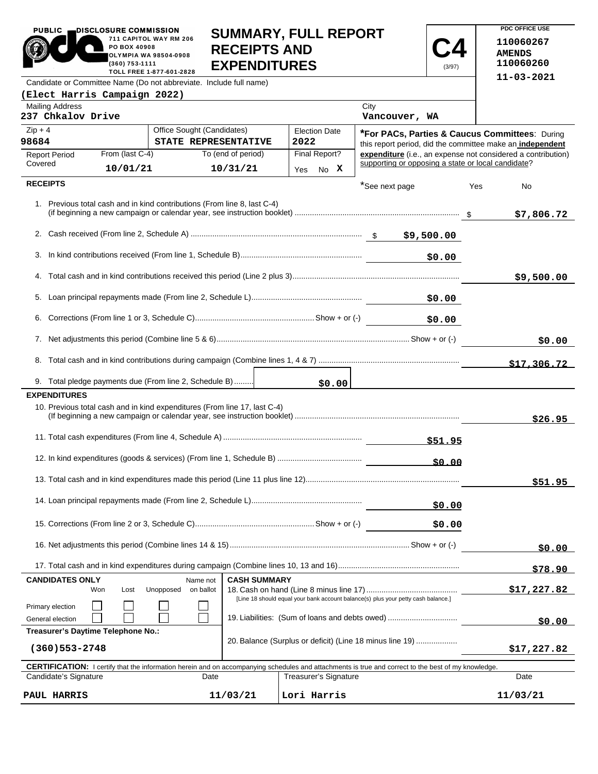PUBLIC **DISCLOSURE COMMISSION** 711 CAPITOL WAY RM 206 PO BOX 40908 OLYMPIA WA 98504-0908 (360) 753-1111 TOLL FREE 1-877-601-2828 **SUMMARY, FULL REPORT RECEIPTS AND EXPENDITURES** 

**PDC OFFICE USE 110060267 AMENDS 110060260 11-03-2021**

**C4** (3/97)

Candidate or Committee Name (Do not abbreviate. Include full name)

| (Elect Harris Campaign 2022)                                                                                                                                                |                                                    |                    |                              |                                                                                                             |                                                              |
|-----------------------------------------------------------------------------------------------------------------------------------------------------------------------------|----------------------------------------------------|--------------------|------------------------------|-------------------------------------------------------------------------------------------------------------|--------------------------------------------------------------|
| <b>Mailing Address</b><br>237 Chkalov Drive                                                                                                                                 |                                                    |                    |                              | City<br>Vancouver, WA                                                                                       |                                                              |
| $Zip + 4$<br>98684                                                                                                                                                          | Office Sought (Candidates)<br>STATE REPRESENTATIVE |                    | <b>Election Date</b><br>2022 | *For PACs, Parties & Caucus Committees: During<br>this report period, did the committee make an independent |                                                              |
| From (last C-4)<br><b>Report Period</b>                                                                                                                                     |                                                    | To (end of period) | Final Report?                |                                                                                                             | expenditure (i.e., an expense not considered a contribution) |
| Covered<br>10/01/21                                                                                                                                                         |                                                    | 10/31/21           | Yes No X                     | supporting or opposing a state or local candidate?                                                          |                                                              |
| <b>RECEIPTS</b>                                                                                                                                                             |                                                    |                    |                              | *See next page                                                                                              | Yes<br>No                                                    |
| 1. Previous total cash and in kind contributions (From line 8, last C-4)                                                                                                    |                                                    |                    |                              |                                                                                                             | \$7,806.72                                                   |
|                                                                                                                                                                             |                                                    |                    |                              |                                                                                                             |                                                              |
| 3.<br>\$0.00                                                                                                                                                                |                                                    |                    |                              |                                                                                                             |                                                              |
| 4.                                                                                                                                                                          |                                                    |                    |                              |                                                                                                             | \$9,500.00                                                   |
|                                                                                                                                                                             |                                                    |                    |                              | \$0.00                                                                                                      |                                                              |
| 6.                                                                                                                                                                          |                                                    |                    |                              | \$0.00                                                                                                      |                                                              |
|                                                                                                                                                                             |                                                    |                    |                              |                                                                                                             | \$0.00                                                       |
|                                                                                                                                                                             |                                                    |                    |                              |                                                                                                             | \$17,306.72                                                  |
| 9. Total pledge payments due (From line 2, Schedule B)                                                                                                                      |                                                    |                    |                              |                                                                                                             |                                                              |
| <b>EXPENDITURES</b>                                                                                                                                                         |                                                    |                    |                              |                                                                                                             |                                                              |
| 10. Previous total cash and in kind expenditures (From line 17, last C-4)                                                                                                   |                                                    |                    |                              |                                                                                                             | \$26.95                                                      |
|                                                                                                                                                                             |                                                    |                    |                              |                                                                                                             |                                                              |
|                                                                                                                                                                             |                                                    |                    |                              |                                                                                                             |                                                              |
| \$51.95                                                                                                                                                                     |                                                    |                    |                              |                                                                                                             |                                                              |
|                                                                                                                                                                             |                                                    |                    |                              | \$0.00                                                                                                      |                                                              |
|                                                                                                                                                                             |                                                    |                    |                              | \$0.00                                                                                                      |                                                              |
|                                                                                                                                                                             |                                                    |                    |                              | \$0.00                                                                                                      |                                                              |
|                                                                                                                                                                             |                                                    |                    |                              |                                                                                                             | \$78.90                                                      |
| <b>CANDIDATES ONLY</b><br><b>CASH SUMMARY</b><br>Name not<br>Unopposed<br>on ballot<br>Won<br>Lost                                                                          |                                                    |                    |                              | \$17,227.82                                                                                                 |                                                              |
| [Line 18 should equal your bank account balance(s) plus your petty cash balance.]<br>Primary election<br>19. Liabilities: (Sum of loans and debts owed)<br>General election |                                                    |                    |                              | <u>50.00 </u>                                                                                               |                                                              |
| Treasurer's Daytime Telephone No.:                                                                                                                                          |                                                    |                    |                              |                                                                                                             |                                                              |
| 20. Balance (Surplus or deficit) (Line 18 minus line 19)<br>$(360)$ 553-2748                                                                                                |                                                    |                    |                              |                                                                                                             | \$17,227.82                                                  |
| <b>CERTIFICATION:</b> I certify that the information herein and on accompanying schedules and attachments is true and correct to the best of my knowledge.                  |                                                    |                    |                              |                                                                                                             |                                                              |
| Candidate's Signature                                                                                                                                                       | Date                                               |                    | <b>Treasurer's Signature</b> |                                                                                                             | Date                                                         |
| PAUL HARRIS                                                                                                                                                                 |                                                    | 11/03/21           | Lori Harris                  |                                                                                                             | 11/03/21                                                     |